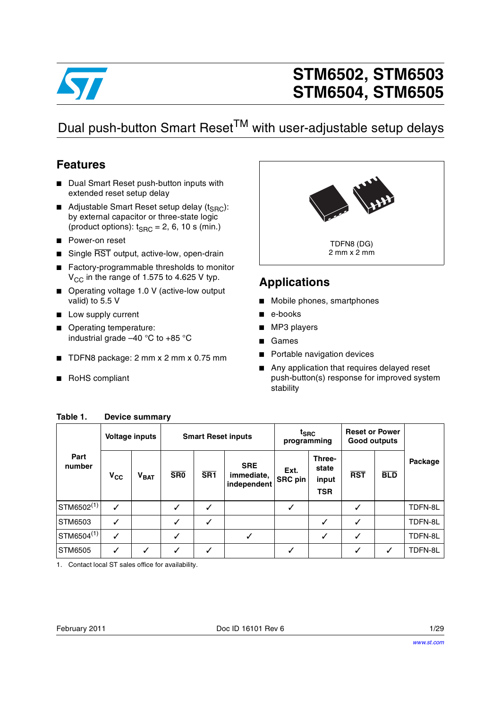

# **STM6502, STM6503 STM6504, STM6505**

## Dual push-button Smart Reset<sup>TM</sup> with user-adjustable setup delays

### <span id="page-0-2"></span>**Features**

- Dual Smart Reset push-button inputs with extended reset setup delay
- Adjustable Smart Reset setup delay (t<sub>SRC</sub>): by external capacitor or three-state logic (product options):  $t_{SBC} = 2$ , 6, 10 s (min.)
- Power-on reset
- Single RST output, active-low, open-drain
- Factory-programmable thresholds to monitor  $V_{\text{CC}}$  in the range of 1.575 to 4.625 V typ.
- Operating voltage 1.0 V (active-low output valid) to 5.5 V
- Low supply current
- Operating temperature: industrial grade –40 °C to +85 °C
- TDFN8 package: 2 mm x 2 mm x 0.75 mm
- RoHS compliant



### <span id="page-0-3"></span>**Applications**

- Mobile phones, smartphones
- e-books
- MP3 players
- Games
- Portable navigation devices
- Any application that requires delayed reset push-button(s) response for improved system stability

|                        |              | <b>Voltage inputs</b> |                 | <b>Smart Reset inputs</b> |                                         | $t_{\text{SRC}}$<br>programming |                                        | <b>Reset or Power</b><br>Good outputs |            |         |
|------------------------|--------------|-----------------------|-----------------|---------------------------|-----------------------------------------|---------------------------------|----------------------------------------|---------------------------------------|------------|---------|
| Part<br>number         | $V_{CC}$     | $V_{\text{BAT}}$      | SR <sub>0</sub> | SR <sub>1</sub>           | <b>SRE</b><br>immediate,<br>independent | Ext.<br><b>SRC</b> pin          | Three-<br>state<br>input<br><b>TSR</b> | <b>RST</b>                            | <b>BLD</b> | Package |
| STM6502 <sup>(1)</sup> | $\checkmark$ |                       |                 | ✓                         |                                         |                                 |                                        | ✓                                     |            | TDFN-8L |
| STM6503                | ✓            |                       | $\checkmark$    | $\checkmark$              |                                         |                                 | ✓                                      | ✓                                     |            | TDFN-8L |
| $STM6504^{(1)}$        | $\checkmark$ |                       |                 |                           | ✓                                       |                                 | $\checkmark$                           | $\checkmark$                          |            | TDFN-8L |
| STM6505                | ✓            | $\checkmark$          | $\checkmark$    | $\checkmark$              |                                         |                                 |                                        | ✓                                     | ✓          | TDFN-8L |

### <span id="page-0-4"></span><span id="page-0-1"></span>**Table 1. Device summary**

<span id="page-0-0"></span>1. Contact local ST sales office for availability.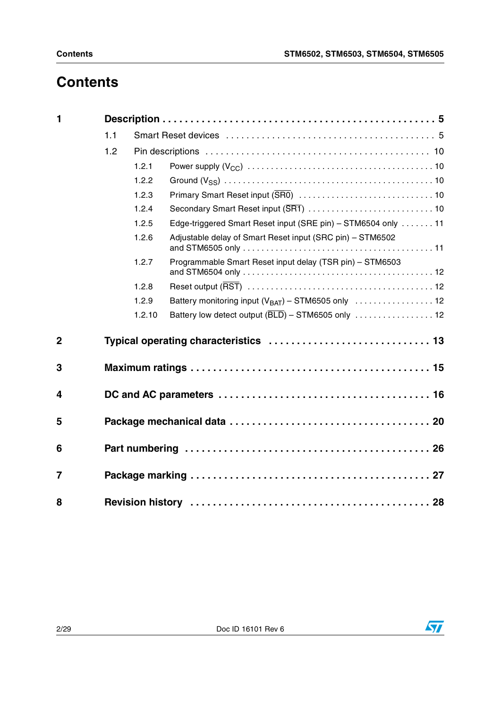# **Contents**

| $\mathbf{1}$   |     |        |                                                               |
|----------------|-----|--------|---------------------------------------------------------------|
|                | 1.1 |        |                                                               |
|                | 1.2 |        |                                                               |
|                |     | 1.2.1  |                                                               |
|                |     | 1.2.2  |                                                               |
|                |     | 1.2.3  |                                                               |
|                |     | 1.2.4  |                                                               |
|                |     | 1.2.5  | Edge-triggered Smart Reset input (SRE pin) - STM6504 only  11 |
|                |     | 1.2.6  | Adjustable delay of Smart Reset input (SRC pin) - STM6502     |
|                |     | 1.2.7  | Programmable Smart Reset input delay (TSR pin) - STM6503      |
|                |     | 1.2.8  |                                                               |
|                |     | 1.2.9  |                                                               |
|                |     | 1.2.10 | Battery low detect output (BLD) - STM6505 only  12            |
| $\overline{2}$ |     |        | Typical operating characteristics  13                         |
| 3              |     |        |                                                               |
| 4              |     |        |                                                               |
| 5              |     |        |                                                               |
| 6              |     |        |                                                               |
| 7              |     |        |                                                               |
| 8              |     |        |                                                               |

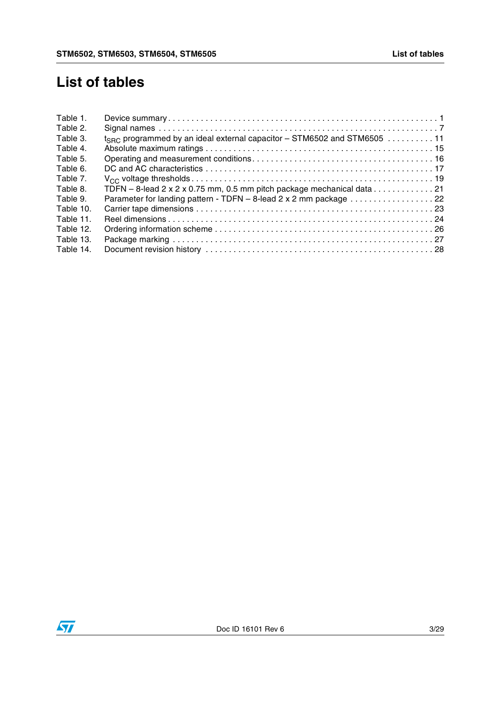### **List of tables**

| Table 1.  |                                                                                                        |
|-----------|--------------------------------------------------------------------------------------------------------|
| Table 2.  |                                                                                                        |
| Table 3.  | $t_{SBC}$ programmed by an ideal external capacitor – STM6502 and STM6505 11                           |
| Table 4.  |                                                                                                        |
| Table 5.  |                                                                                                        |
| Table 6.  |                                                                                                        |
| Table 7.  |                                                                                                        |
| Table 8.  | TDFN – 8-lead 2 x 2 x 0.75 mm, 0.5 mm pitch package mechanical data $\ldots \ldots \ldots \ldots$ . 21 |
| Table 9.  | Parameter for landing pattern - TDFN - 8-lead 2 x 2 mm package 22                                      |
| Table 10. |                                                                                                        |
| Table 11. |                                                                                                        |
| Table 12. |                                                                                                        |
| Table 13. |                                                                                                        |
| Table 14. |                                                                                                        |
|           |                                                                                                        |

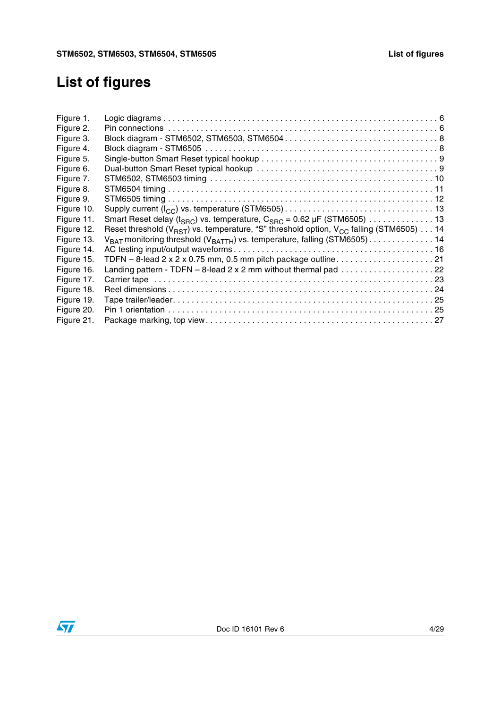# **List of figures**

| Figure 1.  |                                                                                                    |  |
|------------|----------------------------------------------------------------------------------------------------|--|
| Figure 2.  |                                                                                                    |  |
| Figure 3.  |                                                                                                    |  |
| Figure 4.  |                                                                                                    |  |
| Figure 5.  |                                                                                                    |  |
| Figure 6.  |                                                                                                    |  |
| Figure 7.  |                                                                                                    |  |
| Figure 8.  |                                                                                                    |  |
| Figure 9.  |                                                                                                    |  |
| Figure 10. |                                                                                                    |  |
| Figure 11. | Smart Reset delay (t <sub>SRC</sub> ) vs. temperature, C <sub>SRC</sub> = 0.62 µF (STM6505) 13     |  |
| Figure 12. | Reset threshold ( $V_{RST}$ ) vs. temperature, "S" threshold option, $V_{CC}$ falling (STM6505) 14 |  |
| Figure 13. | $V_{\text{BAT}}$ monitoring threshold ( $V_{\text{BATH}}$ ) vs. temperature, falling (STM6505) 14  |  |
| Figure 14. |                                                                                                    |  |
| Figure 15. |                                                                                                    |  |
| Figure 16. | Landing pattern - TDFN - 8-lead 2 x 2 mm without thermal pad 22                                    |  |
| Figure 17. |                                                                                                    |  |
| Figure 18. |                                                                                                    |  |
| Figure 19. |                                                                                                    |  |
| Figure 20. |                                                                                                    |  |
| Figure 21. |                                                                                                    |  |
|            |                                                                                                    |  |

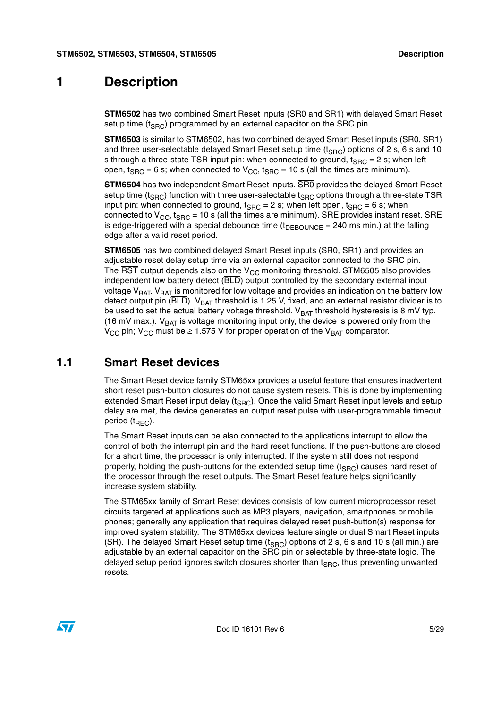### <span id="page-4-0"></span>**1 Description**

**STM6502** has two combined Smart Reset inputs (SR0 and SR1) with delayed Smart Reset setup time  $(t_{SBC})$  programmed by an external capacitor on the SRC pin.

**STM6503** is similar to STM6502, has two combined delayed Smart Reset inputs (SR0, SR1) and three user-selectable delayed Smart Reset setup time  $(t_{SRC})$  options of 2 s, 6 s and 10 s through a three-state TSR input pin: when connected to ground,  $t_{SRC} = 2$  s; when left open,  $t_{SRC}$  = 6 s; when connected to  $V_{CC}$ ,  $t_{SRC}$  = 10 s (all the times are minimum).

**STM6504** has two independent Smart Reset inputs. SR0 provides the delayed Smart Reset setup time ( $t_{SRC}$ ) function with three user-selectable  $t_{SRC}$  options through a three-state TSR input pin: when connected to ground,  $t_{SRC} = 2$  s; when left open,  $t_{SRC} = 6$  s; when connected to  $V_{CC}$ , t<sub>SRC</sub> = 10 s (all the times are minimum). SRE provides instant reset. SRE is edge-triggered with a special debounce time  $(t_{DEBOUNCE} = 240 \text{ ms min.})$  at the falling edge after a valid reset period.

**STM6505** has two combined delayed Smart Reset inputs (SR0, SR1) and provides an adjustable reset delay setup time via an external capacitor connected to the SRC pin. The  $\overline{\text{RST}}$  output depends also on the V<sub>CC</sub> monitoring threshold. STM6505 also provides independent low battery detect (BLD) output controlled by the secondary external input voltage  $V<sub>BAT</sub>$ .  $V<sub>BAT</sub>$  is monitored for low voltage and provides an indication on the battery low detect output pin ( $\overline{BLD}$ ). V<sub>BAT</sub> threshold is 1.25 V, fixed, and an external resistor divider is to be used to set the actual battery voltage threshold.  $V_{BAT}$  threshold hysteresis is 8 mV typ. (16 mV max.).  $V_{BAT}$  is voltage monitoring input only, the device is powered only from the  $V_{\text{CC}}$  pin;  $V_{\text{CC}}$  must be  $\geq 1.575$  V for proper operation of the  $V_{\text{BAT}}$  comparator.

### <span id="page-4-1"></span>**1.1 Smart Reset devices**

The Smart Reset device family STM65xx provides a useful feature that ensures inadvertent short reset push-button closures do not cause system resets. This is done by implementing extended Smart Reset input delay  $(t_{SRC})$ . Once the valid Smart Reset input levels and setup delay are met, the device generates an output reset pulse with user-programmable timeout period  $(t_{\text{BFC}})$ .

The Smart Reset inputs can be also connected to the applications interrupt to allow the control of both the interrupt pin and the hard reset functions. If the push-buttons are closed for a short time, the processor is only interrupted. If the system still does not respond properly, holding the push-buttons for the extended setup time  $(t_{SRC})$  causes hard reset of the processor through the reset outputs. The Smart Reset feature helps significantly increase system stability.

The STM65xx family of Smart Reset devices consists of low current microprocessor reset circuits targeted at applications such as MP3 players, navigation, smartphones or mobile phones; generally any application that requires delayed reset push-button(s) response for improved system stability. The STM65xx devices feature single or dual Smart Reset inputs (SR). The delayed Smart Reset setup time  $(t_{SRC})$  options of 2 s, 6 s and 10 s (all min.) are adjustable by an external capacitor on the SRC pin or selectable by three-state logic. The delayed setup period ignores switch closures shorter than  $t_{SRC}$ , thus preventing unwanted resets.

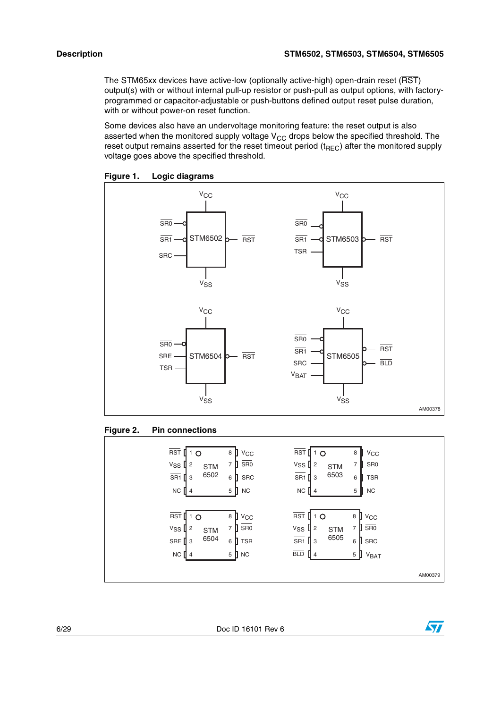The STM65xx devices have active-low (optionally active-high) open-drain reset (RST) output(s) with or without internal pull-up resistor or push-pull as output options, with factoryprogrammed or capacitor-adjustable or push-buttons defined output reset pulse duration, with or without power-on reset function.

Some devices also have an undervoltage monitoring feature: the reset output is also asserted when the monitored supply voltage  $V_{CC}$  drops below the specified threshold. The reset output remains asserted for the reset timeout period  $(t_{REC})$  after the monitored supply voltage goes above the specified threshold.

<span id="page-5-0"></span>



#### <span id="page-5-1"></span>**Figure 2. Pin connections**

<span id="page-5-2"></span>

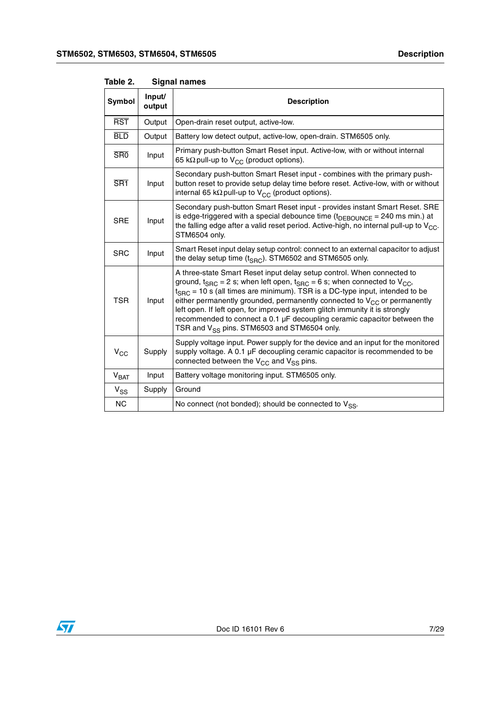| <b>Symbol</b>    | Input/<br>output | <b>Description</b>                                                                                                                                                                                                                                                                                                                                                                                                                                                                                                                                          |
|------------------|------------------|-------------------------------------------------------------------------------------------------------------------------------------------------------------------------------------------------------------------------------------------------------------------------------------------------------------------------------------------------------------------------------------------------------------------------------------------------------------------------------------------------------------------------------------------------------------|
| <b>RST</b>       | Output           | Open-drain reset output, active-low.                                                                                                                                                                                                                                                                                                                                                                                                                                                                                                                        |
| <b>BLD</b>       | Output           | Battery low detect output, active-low, open-drain. STM6505 only.                                                                                                                                                                                                                                                                                                                                                                                                                                                                                            |
| <b>SRO</b>       | Input            | Primary push-button Smart Reset input. Active-low, with or without internal<br>65 k $\Omega$ pull-up to V <sub>CC</sub> (product options).                                                                                                                                                                                                                                                                                                                                                                                                                  |
| SR <sub>1</sub>  | Input            | Secondary push-button Smart Reset input - combines with the primary push-<br>button reset to provide setup delay time before reset. Active-low, with or without<br>internal 65 k $\Omega$ pull-up to V <sub>CC</sub> (product options).                                                                                                                                                                                                                                                                                                                     |
| <b>SRE</b>       | Input            | Secondary push-button Smart Reset input - provides instant Smart Reset. SRE<br>is edge-triggered with a special debounce time $(t_{DEBOUNCE} = 240 \text{ ms min.})$ at<br>the falling edge after a valid reset period. Active-high, no internal pull-up to $V_{CC}$ .<br>STM6504 only.                                                                                                                                                                                                                                                                     |
| <b>SRC</b>       | Input            | Smart Reset input delay setup control: connect to an external capacitor to adjust<br>the delay setup time $(t_{\text{SRC}})$ . STM6502 and STM6505 only.                                                                                                                                                                                                                                                                                                                                                                                                    |
| <b>TSR</b>       | Input            | A three-state Smart Reset input delay setup control. When connected to<br>ground, $t_{SRC}$ = 2 s; when left open, $t_{SRC}$ = 6 s; when connected to $V_{CC}$ ,<br>$t_{SRC}$ = 10 s (all times are minimum). TSR is a DC-type input, intended to be<br>either permanently grounded, permanently connected to $V_{CC}$ or permanently<br>left open. If left open, for improved system glitch immunity it is strongly<br>recommended to connect a 0.1 µF decoupling ceramic capacitor between the<br>TSR and V <sub>SS</sub> pins. STM6503 and STM6504 only. |
| $V_{CC}$         | Supply           | Supply voltage input. Power supply for the device and an input for the monitored<br>supply voltage. A 0.1 µF decoupling ceramic capacitor is recommended to be<br>connected between the $V_{CC}$ and $V_{SS}$ pins.                                                                                                                                                                                                                                                                                                                                         |
| V <sub>BAT</sub> | Input            | Battery voltage monitoring input. STM6505 only.                                                                                                                                                                                                                                                                                                                                                                                                                                                                                                             |
| $V_{SS}$         | Supply           | Ground                                                                                                                                                                                                                                                                                                                                                                                                                                                                                                                                                      |
| <b>NC</b>        |                  | No connect (not bonded); should be connected to $V_{SS}$ .                                                                                                                                                                                                                                                                                                                                                                                                                                                                                                  |

<span id="page-6-0"></span>**Table 2. Signal names**

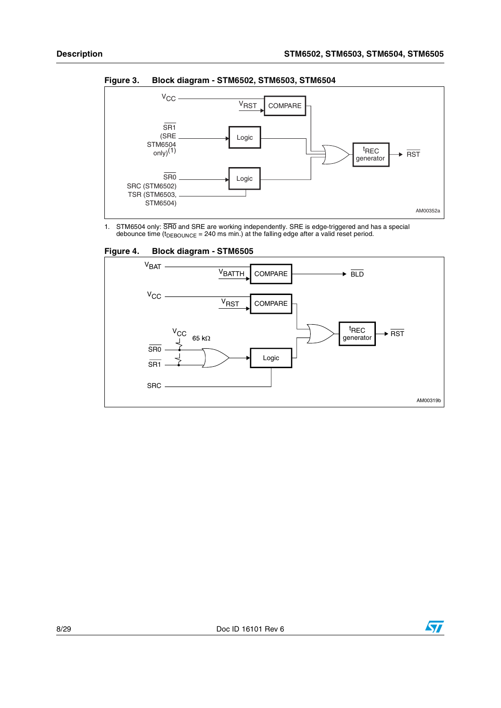

<span id="page-7-0"></span>**Figure 3. Block diagram - STM6502, STM6503, STM6504**

1. STM6504 only: SR0 and SRE are working independently. SRE is edge-triggered and has a special debounce time (t $_{\sf DEBOUNCE}$  = 240 ms min.) at the falling edge after a valid reset period.



<span id="page-7-1"></span>**Figure 4. Block diagram - STM6505**

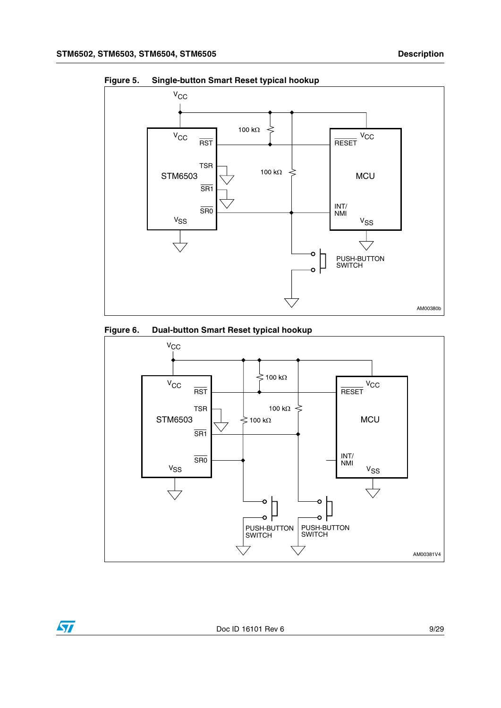ST



<span id="page-8-0"></span>**Figure 5. Single-button Smart Reset typical hookup**

<span id="page-8-1"></span>

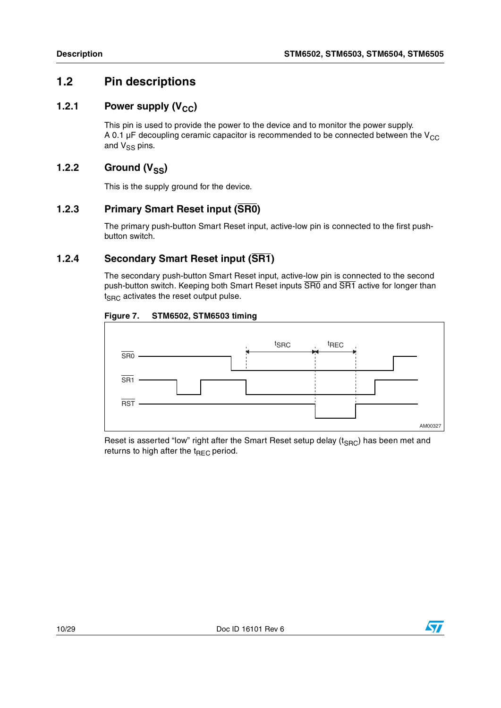### <span id="page-9-0"></span>**1.2 Pin descriptions**

### <span id="page-9-1"></span>**1.2.1** Power supply (V<sub>CC</sub>)

This pin is used to provide the power to the device and to monitor the power supply. A 0.1  $\mu$ F decoupling ceramic capacitor is recommended to be connected between the V<sub>CC</sub> and  $V_{SS}$  pins.

### <span id="page-9-2"></span>**1.2.2** Ground (V<sub>SS</sub>)

This is the supply ground for the device.

### <span id="page-9-3"></span>**1.2.3 Primary Smart Reset input (SR0)**

The primary push-button Smart Reset input, active-low pin is connected to the first pushbutton switch.

### <span id="page-9-4"></span>**1.2.4 Secondary Smart Reset input (SR1)**

The secondary push-button Smart Reset input, active-low pin is connected to the second push-button switch. Keeping both Smart Reset inputs SR0 and SR1 active for longer than  $t_{SBC}$  activates the reset output pulse.

#### <span id="page-9-5"></span>**Figure 7. STM6502, STM6503 timing**



Reset is asserted "low" right after the Smart Reset setup delay ( $t_{SRC}$ ) has been met and returns to high after the  $t_{REC}$  period.

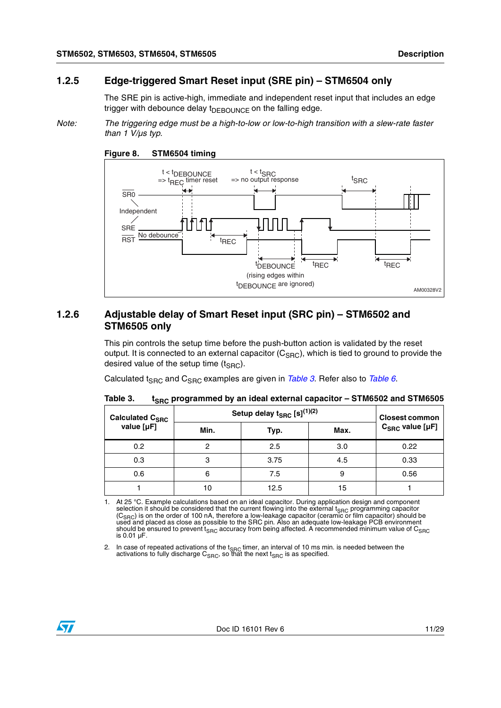### <span id="page-10-0"></span>**1.2.5 Edge-triggered Smart Reset input (SRE pin) – STM6504 only**

The SRE pin is active-high, immediate and independent reset input that includes an edge trigger with debounce delay  $t_{DEBOUNCE}$  on the falling edge.

*Note: The triggering edge must be a high-to-low or low-to-high transition with a slew-rate faster than 1 V/µs typ.*



<span id="page-10-3"></span>

### <span id="page-10-1"></span>**1.2.6 Adjustable delay of Smart Reset input (SRC pin) – STM6502 and STM6505 only**

This pin controls the setup time before the push-button action is validated by the reset output. It is connected to an external capacitor  $(C<sub>SBC</sub>)$ , which is tied to ground to provide the desired value of the setup time  $(t_{SBC})$ .

Calculated t<sub>SRC</sub> and C<sub>SRC</sub> examples are given in *[Table 3](#page-10-2)*. Refer also to *[Table 6](#page-16-0)*.

| Calculated C <sub>SRC</sub> | Setup delay $t_{SRC}$ [s] $^{(1)(2)}$ | <b>Closest common</b> |      |                            |
|-----------------------------|---------------------------------------|-----------------------|------|----------------------------|
| value [µF]                  | Min.                                  | Typ.                  | Max. | $C_{SRC}$ value [ $\mu$ F] |
| 0.2                         | ⌒                                     | 2.5                   | 3.0  | 0.22                       |
| 0.3                         | 3                                     | 3.75                  | 4.5  | 0.33                       |
| 0.6                         | 6                                     | 7.5                   | 9    | 0.56                       |
|                             | 10                                    | 12.5                  | 15   |                            |

<span id="page-10-2"></span>

| Table 3. | t <sub>SRC</sub> programmed by an ideal external capacitor – STM6502 and STM6505 |
|----------|----------------------------------------------------------------------------------|
|----------|----------------------------------------------------------------------------------|

<span id="page-10-5"></span>1. At 25 °C. Example calculations based on an ideal capacitor. During application design and component selection it should be considered that the current flowing into the external t<sub>SRC</sub> programming capacitor (C<sub>SRC</sub>) is on the order of 100 nA, therefore a low-leakage capacitor (ceramic or film capacitor) should be<br>used and placed as close as possible to the SRC pin. Also an adequate low-leakage PCB environment should be ensured to prevent  $t_{SRC}$  accuracy from being affected. A recommended minimum value of  $C_{SRC}$ is 0.01 µF.

<span id="page-10-4"></span>2. In case of repeated activations of the  $t_{SRC}$  timer, an interval of 10 ms min. is needed between the activations to fully discharge  $C_{SRC}$ , so that the next t<sub>SRC</sub> is as specified.

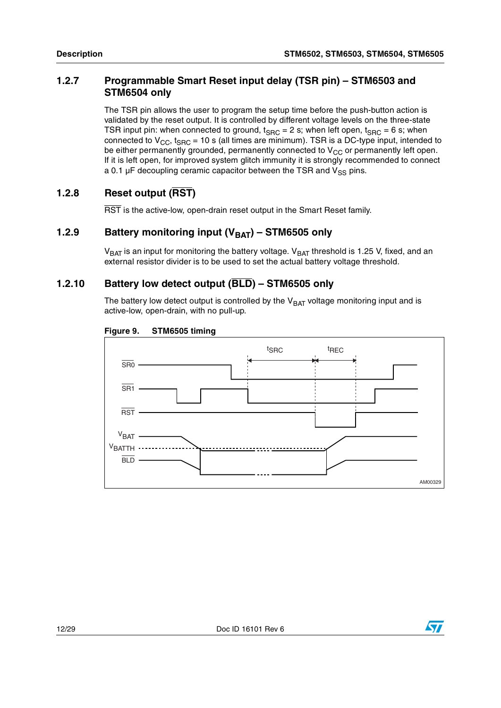### <span id="page-11-0"></span>**1.2.7 Programmable Smart Reset input delay (TSR pin) – STM6503 and STM6504 only**

The TSR pin allows the user to program the setup time before the push-button action is validated by the reset output. It is controlled by different voltage levels on the three-state TSR input pin: when connected to ground,  $t_{SRC} = 2$  s; when left open,  $t_{SRC} = 6$  s; when connected to  $V_{CC}$ , t<sub>SRC</sub> = 10 s (all times are minimum). TSR is a DC-type input, intended to be either permanently grounded, permanently connected to  $V_{CC}$  or permanently left open. If it is left open, for improved system glitch immunity it is strongly recommended to connect a 0.1  $\mu$ F decoupling ceramic capacitor between the TSR and  $V_{SS}$  pins.

### <span id="page-11-1"></span>**1.2.8 Reset output (RST)**

RST is the active-low, open-drain reset output in the Smart Reset family.

### <span id="page-11-2"></span>**1.2.9** Battery monitoring input (V<sub>BAT</sub>) – STM6505 only

 $V<sub>BAT</sub>$  is an input for monitoring the battery voltage.  $V<sub>BAT</sub>$  threshold is 1.25 V, fixed, and an external resistor divider is to be used to set the actual battery voltage threshold.

### <span id="page-11-3"></span>**1.2.10 Battery low detect output (BLD) – STM6505 only**

The battery low detect output is controlled by the  $V<sub>BAT</sub>$  voltage monitoring input and is active-low, open-drain, with no pull-up.

<span id="page-11-4"></span>



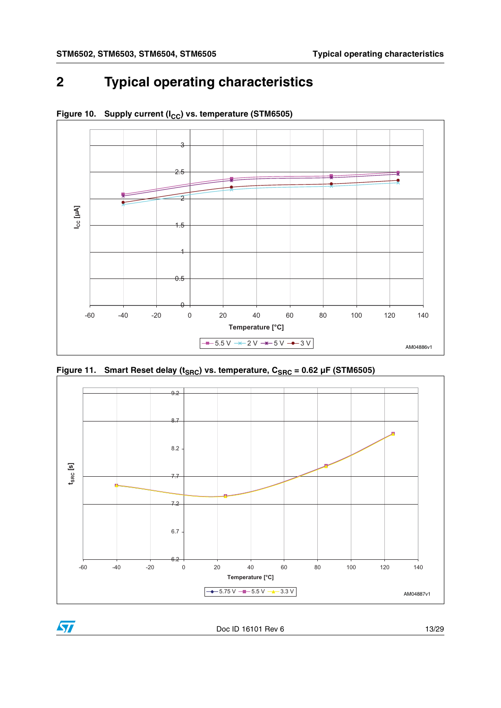### <span id="page-12-0"></span>**2 Typical operating characteristics**



<span id="page-12-1"></span>Figure 10. Supply current (I<sub>CC</sub>) vs. temperature (STM6505)

<span id="page-12-2"></span>



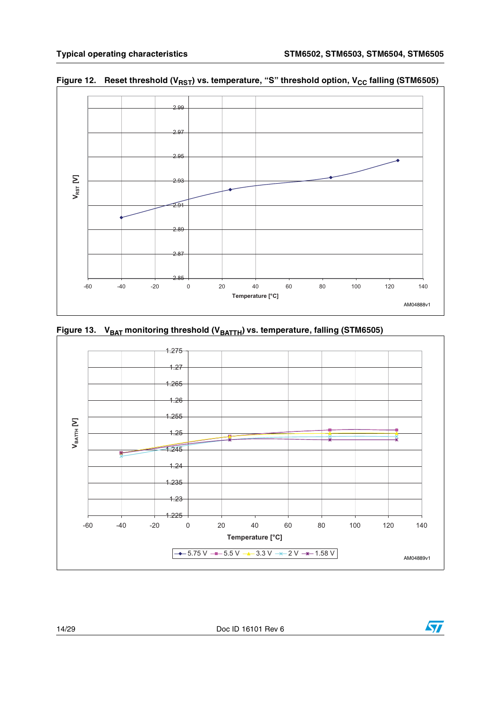

<span id="page-13-0"></span>Figure 12. Reset threshold (V<sub>RST</sub>) vs. temperature, "S" threshold option, V<sub>CC</sub> falling (STM6505)

<span id="page-13-1"></span>



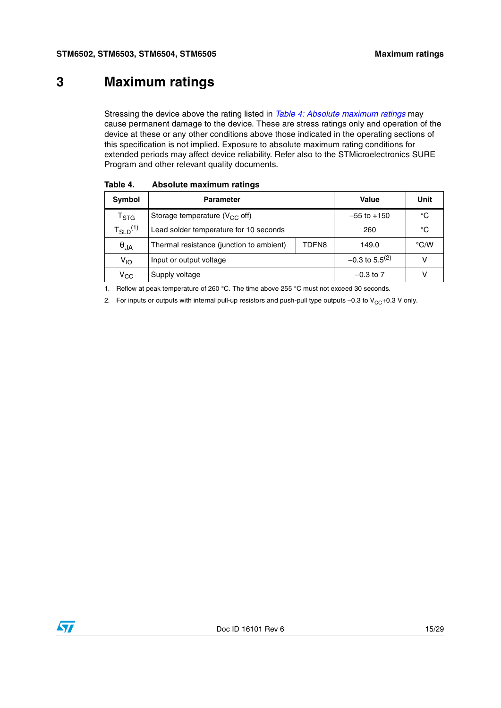### <span id="page-14-0"></span>**3 Maximum ratings**

Stressing the device above the rating listed in *[Table 4: Absolute maximum ratings](#page-14-1)* may cause permanent damage to the device. These are stress ratings only and operation of the device at these or any other conditions above those indicated in the operating sections of this specification is not implied. Exposure to absolute maximum rating conditions for extended periods may affect device reliability. Refer also to the STMicroelectronics SURE Program and other relevant quality documents.

| Symbol                      | <b>Parameter</b>                         | Value | Unit                         |      |
|-----------------------------|------------------------------------------|-------|------------------------------|------|
| $\mathsf{T}_{\texttt{STG}}$ | Storage temperature ( $V_{CC}$ off)      |       | $-55$ to $+150$              | °C   |
| $T_{SLD}^{(1)}$             | Lead solder temperature for 10 seconds   |       | 260                          | °C   |
| $\theta_{JA}$               | Thermal resistance (junction to ambient) | TDFN8 | 149.0                        | °C/W |
| V <sub>IO</sub>             | Input or output voltage                  |       | $-0.3$ to 5.5 <sup>(2)</sup> | v    |
| $\rm v_{cc}$                | Supply voltage                           |       | $-0.3$ to 7                  |      |

<span id="page-14-1"></span>Table 4. **Absolute maximum ratings** 

1. Reflow at peak temperature of 260 °C. The time above 255 °C must not exceed 30 seconds.

<span id="page-14-2"></span>2. For inputs or outputs with internal pull-up resistors and push-pull type outputs –0.3 to  $V_{CC}+0.3$  V only.

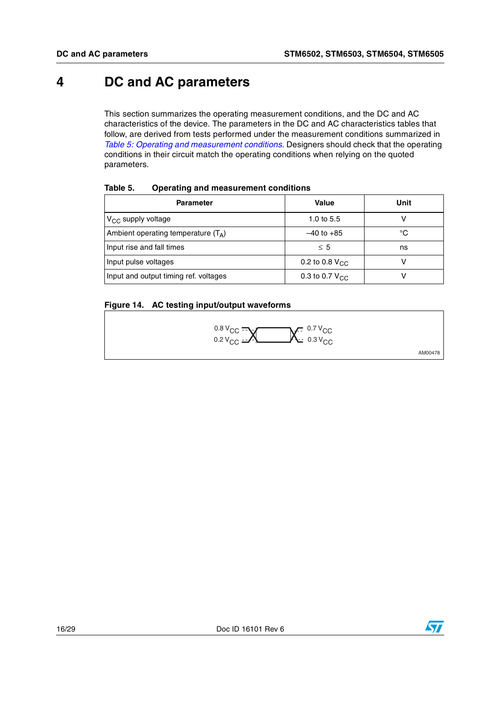### <span id="page-15-0"></span>**4 DC and AC parameters**

This section summarizes the operating measurement conditions, and the DC and AC characteristics of the device. The parameters in the DC and AC characteristics tables that follow, are derived from tests performed under the measurement conditions summarized in *[Table 5: Operating and measurement conditions](#page-15-1)*. Designers should check that the operating conditions in their circuit match the operating conditions when relying on the quoted parameters.

| <b>Parameter</b>                      | <b>Value</b>               | Unit |
|---------------------------------------|----------------------------|------|
| $V_{CC}$ supply voltage               | 1.0 to $5.5$               |      |
| Ambient operating temperature $(T_A)$ | $-40$ to $+85$             | °C   |
| Input rise and fall times             | $\leq 5$                   | ns   |
| Input pulse voltages                  | 0.2 to 0.8 $V_{\text{CC}}$ |      |
| Input and output timing ref. voltages | 0.3 to 0.7 $V_{CC}$        |      |

#### <span id="page-15-1"></span>**Table 5. Operating and measurement conditions**

#### <span id="page-15-2"></span>**Figure 14. AC testing input/output waveforms**





AM00478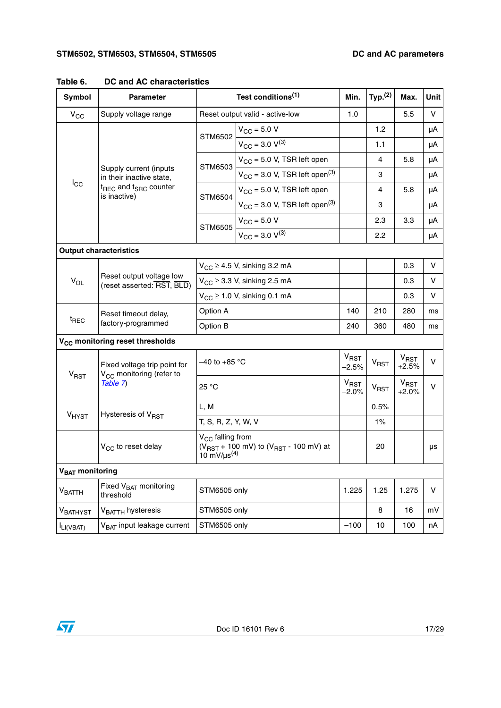| <b>Symbol</b>               | <b>Parameter</b>                                                     |                                                                                                                    | Test conditions <sup>(1)</sup>                 | Min.                                                                                              | Typ. <sup>(2)</sup>                                                                                                                                         | Max.                                                                                                                              | Unit |
|-----------------------------|----------------------------------------------------------------------|--------------------------------------------------------------------------------------------------------------------|------------------------------------------------|---------------------------------------------------------------------------------------------------|-------------------------------------------------------------------------------------------------------------------------------------------------------------|-----------------------------------------------------------------------------------------------------------------------------------|------|
| $V_{CC}$                    | Supply voltage range                                                 |                                                                                                                    | Reset output valid - active-low                | 1.0                                                                                               |                                                                                                                                                             | 5.5                                                                                                                               | V    |
|                             |                                                                      | STM6502                                                                                                            | $V_{\text{CC}} = 5.0 V$                        |                                                                                                   | 1.2                                                                                                                                                         | 5.8<br>5.8<br>3.3<br>0.3<br>0.3<br>0.3<br>280<br>480<br>$V_{RST}$<br>$+2.5%$<br>V <sub>RST</sub><br>$+2.0%$<br>1.275<br>16<br>100 | μA   |
|                             |                                                                      |                                                                                                                    | $V_{\text{CC}} = 3.0 V^{(3)}$                  |                                                                                                   | 1.1                                                                                                                                                         |                                                                                                                                   | μA   |
|                             |                                                                      | STM6503                                                                                                            | $V_{CC}$ = 5.0 V, TSR left open                |                                                                                                   | 4<br>3<br>4<br>3<br>2.3<br>2.2<br>V<br>v<br>v<br>210<br>360<br>v<br>$V_{RST}$<br>V<br><b>V<sub>RST</sub></b><br>0.5%<br>$1\%$<br>20<br>1.25<br>V<br>8<br>10 | μA                                                                                                                                |      |
|                             | Supply current (inputs<br>in their inactive state,                   |                                                                                                                    | $V_{CC}$ = 3.0 V, TSR left open <sup>(3)</sup> |                                                                                                   |                                                                                                                                                             | μA<br>μA<br>μA<br>μA<br>μA<br>ms<br>ms<br>μs<br>mV<br>nA                                                                          |      |
| $I_{\rm CC}$                | t <sub>REC</sub> and t <sub>SRC</sub> counter<br>is inactive)        | <b>STM6504</b>                                                                                                     | $V_{CC}$ = 5.0 V, TSR left open                |                                                                                                   |                                                                                                                                                             |                                                                                                                                   |      |
|                             |                                                                      |                                                                                                                    | $V_{CC}$ = 3.0 V, TSR left open <sup>(3)</sup> |                                                                                                   |                                                                                                                                                             |                                                                                                                                   |      |
|                             |                                                                      | <b>STM6505</b>                                                                                                     | $V_{\text{CC}} = 5.0 V$                        | $V_{CC} \geq 3.3$ V, sinking 2.5 mA<br>140<br>240<br>$V_{RST}$<br>$-2.5%$<br>$V_{RST}$<br>$-2.0%$ |                                                                                                                                                             |                                                                                                                                   |      |
|                             |                                                                      |                                                                                                                    | $V_{CC}$ = 3.0 $V^{(3)}$                       |                                                                                                   |                                                                                                                                                             |                                                                                                                                   |      |
|                             | <b>Output characteristics</b>                                        |                                                                                                                    |                                                |                                                                                                   |                                                                                                                                                             |                                                                                                                                   |      |
| $V_{OL}$                    |                                                                      |                                                                                                                    | $V_{CC} \geq 4.5$ V, sinking 3.2 mA            |                                                                                                   |                                                                                                                                                             |                                                                                                                                   |      |
|                             | Reset output voltage low<br>(reset asserted: RST, BLD)               |                                                                                                                    |                                                |                                                                                                   |                                                                                                                                                             |                                                                                                                                   |      |
|                             |                                                                      | $V_{CC} \ge 1.0$ V, sinking 0.1 mA                                                                                 |                                                |                                                                                                   |                                                                                                                                                             |                                                                                                                                   |      |
|                             | Reset timeout delay,                                                 | Option A                                                                                                           |                                                |                                                                                                   |                                                                                                                                                             |                                                                                                                                   |      |
|                             | $t_{\text{REC}}$<br>factory-programmed                               |                                                                                                                    | Option B                                       |                                                                                                   |                                                                                                                                                             |                                                                                                                                   |      |
|                             | V <sub>CC</sub> monitoring reset thresholds                          |                                                                                                                    |                                                |                                                                                                   |                                                                                                                                                             |                                                                                                                                   |      |
| <b>V<sub>RST</sub></b>      | Fixed voltage trip point for<br>V <sub>CC</sub> monitoring (refer to | $-40$ to +85 °C                                                                                                    |                                                |                                                                                                   |                                                                                                                                                             |                                                                                                                                   |      |
|                             | Table 7)                                                             | 25 °C                                                                                                              |                                                |                                                                                                   |                                                                                                                                                             |                                                                                                                                   |      |
|                             |                                                                      | L, M                                                                                                               |                                                |                                                                                                   |                                                                                                                                                             |                                                                                                                                   |      |
| V <sub>HYST</sub>           | Hysteresis of V <sub>RST</sub>                                       | T, S, R, Z, Y, W, V                                                                                                |                                                |                                                                                                   |                                                                                                                                                             |                                                                                                                                   |      |
|                             | V <sub>CC</sub> to reset delay                                       | $V_{\text{CC}}$ falling from<br>( $V_{RST}$ + 100 mV) to ( $V_{RST}$ - 100 mV) at<br>10 mV/ $\mu$ s <sup>(4)</sup> |                                                |                                                                                                   |                                                                                                                                                             |                                                                                                                                   |      |
| V <sub>BAT</sub> monitoring |                                                                      |                                                                                                                    |                                                |                                                                                                   |                                                                                                                                                             |                                                                                                                                   |      |
| $\rm{V}_{BATTH}$            | Fixed V <sub>BAT</sub> monitoring<br>threshold                       | STM6505 only                                                                                                       |                                                | 1.225                                                                                             |                                                                                                                                                             |                                                                                                                                   |      |
| VBATHYST                    | V <sub>BATTH</sub> hysteresis                                        | STM6505 only                                                                                                       |                                                |                                                                                                   |                                                                                                                                                             |                                                                                                                                   |      |
| ILI(VBAT)                   | V <sub>BAT</sub> input leakage current                               | STM6505 only                                                                                                       |                                                | $-100$                                                                                            |                                                                                                                                                             |                                                                                                                                   |      |

### <span id="page-16-0"></span>**Table 6. DC and AC characteristics**

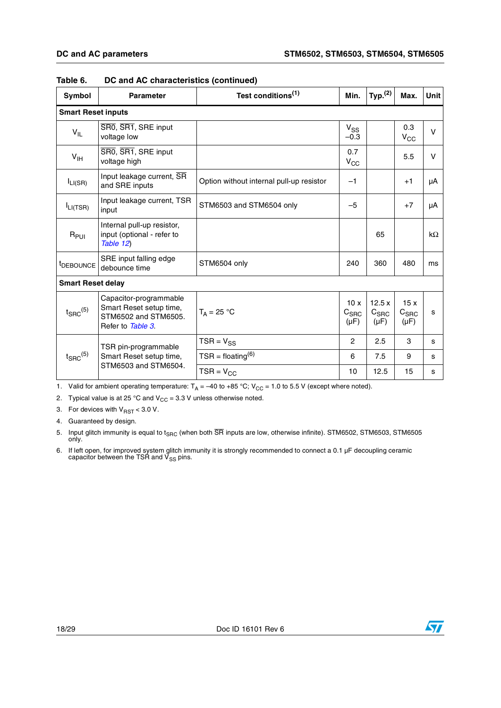| <b>Symbol</b>             | <b>Parameter</b>                                                                               | Test conditions <sup>(1)</sup>           | Min.                                 | Typ. <sup>(2)</sup>                    | Max.                                 | <b>Unit</b> |
|---------------------------|------------------------------------------------------------------------------------------------|------------------------------------------|--------------------------------------|----------------------------------------|--------------------------------------|-------------|
| <b>Smart Reset inputs</b> |                                                                                                |                                          |                                      |                                        |                                      |             |
| $V_{IL}$                  | SR0, SR1, SRE input<br>voltage low                                                             |                                          | $V_{SS}$<br>$-0.3$                   |                                        | 0.3<br>$V_{CC}$                      | $\vee$      |
| $V_{\text{IH}}$           | SR0, SR1, SRE input<br>voltage high                                                            |                                          | 0.7<br>$V_{CC}$                      |                                        | 5.5                                  | v           |
| $I_{LI(SR)}$              | Input leakage current, SR<br>and SRE inputs                                                    | Option without internal pull-up resistor | $-1$                                 |                                        | $+1$                                 | μA          |
| $I_{LI(TSR)}$             | Input leakage current, TSR<br>input                                                            | STM6503 and STM6504 only                 | $-5$                                 |                                        | $+7$                                 | μA          |
| $R_{PUI}$                 | Internal pull-up resistor,<br>input (optional - refer to<br>Table 12)                          |                                          |                                      | 65                                     |                                      | $k\Omega$   |
| <sup>t</sup> DEBOUNCE     | SRE input falling edge<br>debounce time                                                        | STM6504 only                             | 240                                  | 360                                    | 480                                  | ms          |
|                           |                                                                                                |                                          |                                      |                                        |                                      |             |
| $t_{\text{SRC}}^{(5)}$    | Capacitor-programmable<br>Smart Reset setup time,<br>STM6502 and STM6505.<br>Refer to Table 3. | $T_A = 25 °C$                            | 10x<br>C <sub>SRC</sub><br>$(\mu F)$ | 12.5x<br>C <sub>SRC</sub><br>$(\mu F)$ | 15x<br>C <sub>SRC</sub><br>$(\mu F)$ | s           |
|                           | TSR pin-programmable                                                                           | $TSR = V_{SS}$                           | $\overline{2}$                       | 2.5                                    | 3                                    | s           |
| $t_{\text{SRC}}^{(5)}$    | Smart Reset setup time,                                                                        | $TSR = f$ loating <sup>(6)</sup>         | 6                                    | 7.5                                    | 9                                    | s           |
| <b>Smart Reset delay</b>  | STM6503 and STM6504.                                                                           | $TSR = V_{CC}$                           | 10                                   | 12.5                                   | 15                                   | s           |

**Table 6. DC and AC characteristics (continued)**

1. Valid for ambient operating temperature:  $T_A = -40$  to +85 °C; V<sub>CC</sub> = 1.0 to 5.5 V (except where noted).

2. Typical value is at 25 °C and  $V_{CC} = 3.3$  V unless otherwise noted.

<span id="page-17-0"></span>3. For devices with  $V_{\text{RST}}$  < 3.0 V.

4. Guaranteed by design.

<span id="page-17-1"></span>5. Input glitch immunity is equal to t<sub>SRC</sub> (when both SR inputs are low, otherwise infinite). STM6502, STM6503, STM6505<br>only.

<span id="page-17-2"></span>6. If left open, for improved system glitch immunity it is strongly recommended to connect a 0.1 µF decoupling ceramic<br>capacitor between the TSR and V<sub>SS</sub> pins.

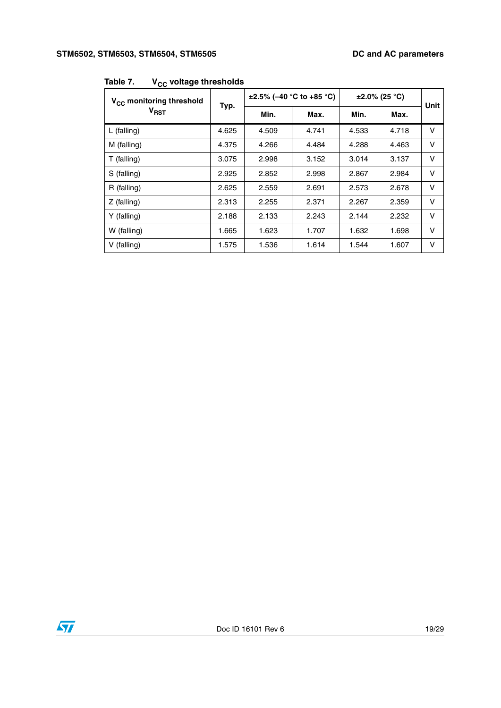| ◡◡<br>V <sub>CC</sub> monitoring threshold |       |       | $\pm 2.5\%$ (-40 °C to +85 °C) | $\pm 2.0\%$ (25 °C) | Unit  |   |
|--------------------------------------------|-------|-------|--------------------------------|---------------------|-------|---|
| V <sub>RST</sub>                           | Typ.  | Min.  | Max.                           | Min.                | Max.  |   |
| $L$ (falling)                              | 4.625 | 4.509 | 4.741                          | 4.533               | 4.718 | V |
| M (falling)                                | 4.375 | 4.266 | 4.484                          | 4.288               | 4.463 | v |
| $T$ (falling)                              | 3.075 | 2.998 | 3.152                          | 3.014               | 3.137 | v |
| S (falling)                                | 2.925 | 2.852 | 2.998                          | 2.867               | 2.984 | v |
| R (falling)                                | 2.625 | 2.559 | 2.691                          | 2.573               | 2.678 | v |
| $Z$ (falling)                              | 2.313 | 2.255 | 2.371                          | 2.267               | 2.359 | v |
| Y (falling)                                | 2.188 | 2.133 | 2.243                          | 2.144               | 2.232 | v |
| W (falling)                                | 1.665 | 1.623 | 1.707                          | 1.632               | 1.698 | V |
| V (falling)                                | 1.575 | 1.536 | 1.614                          | 1.544               | 1.607 | v |

#### <span id="page-18-0"></span>Table 7. **V<sub>CC</sub>** voltage thresholds

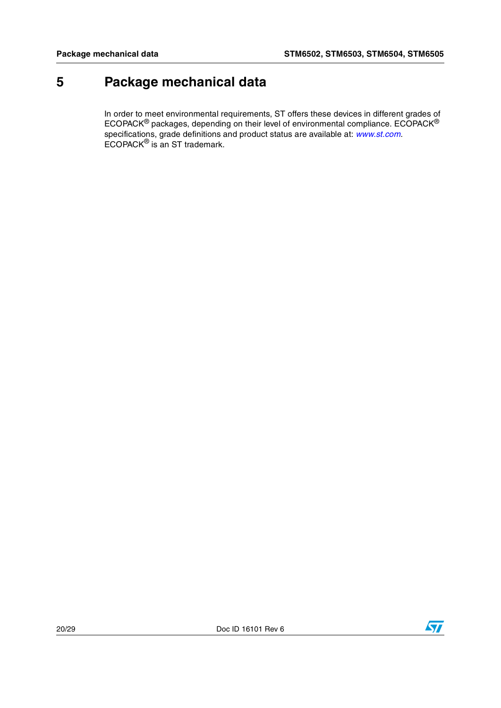### <span id="page-19-0"></span>**5 Package mechanical data**

In order to meet environmental requirements, ST offers these devices in different grades of ECOPACK® packages, depending on their level of environmental compliance. ECOPACK® specifications, grade definitions and product status are available at: *[www.st.com](http://www.st.com)*. ECOPACK<sup>®</sup> is an ST trademark.

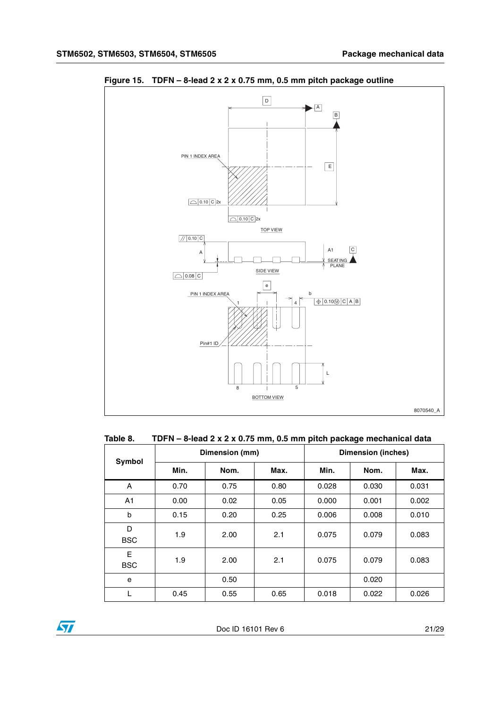

<span id="page-20-1"></span>**Figure 15. TDFN – 8-lead 2 x 2 x 0.75 mm, 0.5 mm pitch package outline**

#### <span id="page-20-0"></span>**Table 8. TDFN – 8-lead 2 x 2 x 0.75 mm, 0.5 mm pitch package mechanical data** T

| Symbol          |      | Dimension (mm) |      | <b>Dimension (inches)</b> |       |       |  |
|-----------------|------|----------------|------|---------------------------|-------|-------|--|
|                 | Min. | Nom.           | Max. | Min.                      | Nom.  | Max.  |  |
| A               | 0.70 | 0.75           | 0.80 | 0.028                     | 0.030 | 0.031 |  |
| A <sub>1</sub>  | 0.00 | 0.02           | 0.05 | 0.000                     | 0.001 | 0.002 |  |
| b               | 0.15 | 0.20           | 0.25 | 0.006                     | 0.008 | 0.010 |  |
| D<br><b>BSC</b> | 1.9  | 2.00           | 2.1  | 0.075                     | 0.079 | 0.083 |  |
| Е<br><b>BSC</b> | 1.9  | 2.00           | 2.1  | 0.075                     | 0.079 | 0.083 |  |
| e               |      | 0.50           |      |                           | 0.020 |       |  |
| L               | 0.45 | 0.55           | 0.65 | 0.018                     | 0.022 | 0.026 |  |

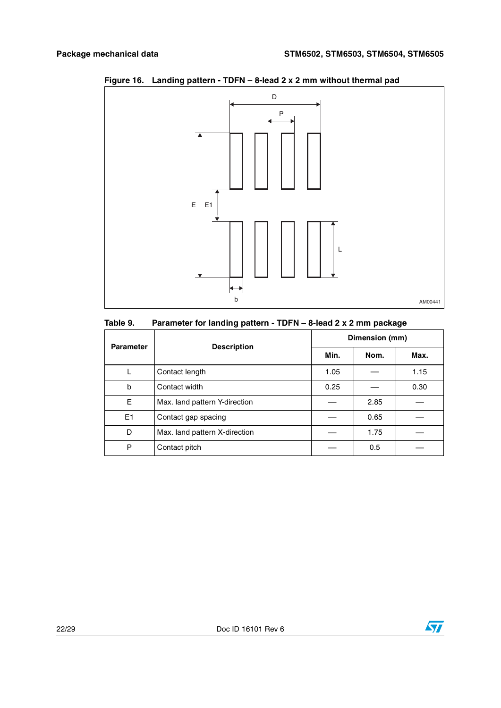

### <span id="page-21-1"></span>**Figure 16. Landing pattern - TDFN – 8-lead 2 x 2 mm without thermal pad**

<span id="page-21-0"></span>

| Table 9. | Parameter for landing pattern - TDFN - 8-lead 2 x 2 mm package |  |
|----------|----------------------------------------------------------------|--|
|----------|----------------------------------------------------------------|--|

| <b>Parameter</b> | <b>Description</b>            | Dimension (mm) |      |      |  |  |
|------------------|-------------------------------|----------------|------|------|--|--|
|                  |                               | Min.           | Nom. | Max. |  |  |
|                  | Contact length                | 1.05           |      | 1.15 |  |  |
| b                | Contact width                 | 0.25           |      | 0.30 |  |  |
| Е                | Max. land pattern Y-direction |                | 2.85 |      |  |  |
| E1               | Contact gap spacing           |                | 0.65 |      |  |  |
| D                | Max. land pattern X-direction |                | 1.75 |      |  |  |
| P                | Contact pitch                 |                | 0.5  |      |  |  |

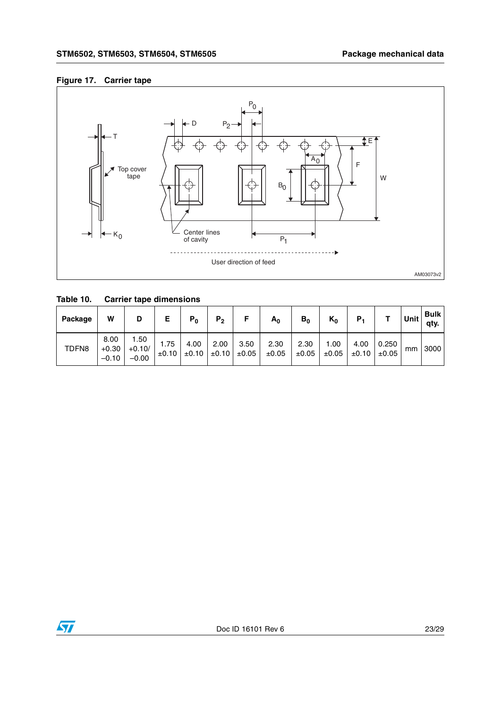#### <span id="page-22-1"></span>**Figure 17. Carrier tape**



<span id="page-22-0"></span>**Table 10. Carrier tape dimensions** 

| Package | W                          | D                           |                    | $P_0$              | P <sub>2</sub>     |                    | $A_0$         | $B_0$         | $K_0$               | Р,                 |                     | <b>Unit</b> | <b>Bulk</b><br>qty. |
|---------|----------------------------|-----------------------------|--------------------|--------------------|--------------------|--------------------|---------------|---------------|---------------------|--------------------|---------------------|-------------|---------------------|
| TDFN8   | 8.00<br>$+0.30$<br>$-0.10$ | 1.50<br>$+0.10/$<br>$-0.00$ | 1.75<br>$\pm 0.10$ | 4.00<br>$\pm 0.10$ | 2.00<br>$\pm 0.10$ | 3.50<br>$\pm 0.05$ | 2.30<br>±0.05 | 2.30<br>±0.05 | 00. ا<br>$\pm 0.05$ | 4.00<br>$\pm 0.10$ | 0.250<br>$\pm 0.05$ | mm          | 3000                |

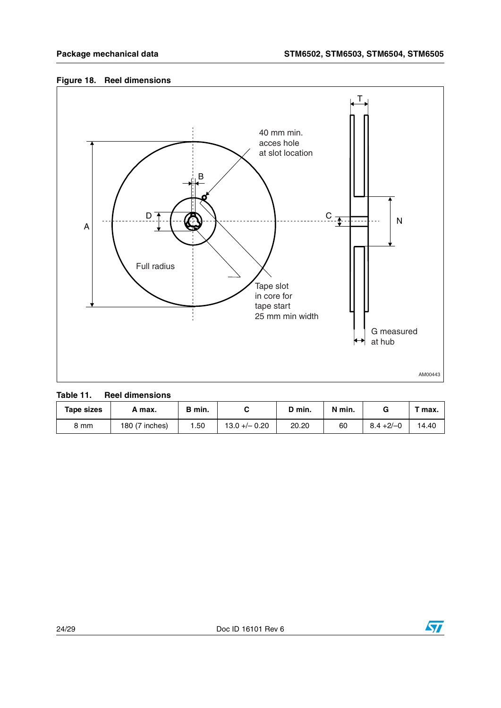### <span id="page-23-1"></span>**Figure 18. Reel dimensions**



<span id="page-23-0"></span>

| Table 11. | <b>Reel dimensions</b> |
|-----------|------------------------|
|-----------|------------------------|

| Tape sizes | A max.         | B min. |                 | ת ס.  | N min. |              | $\tau$ max. |
|------------|----------------|--------|-----------------|-------|--------|--------------|-------------|
| 8 mm       | 180 (7 inches) | .50    | $13.0 + - 0.20$ | 20.20 | 60     | $8.4 + 2/-0$ | 14.40       |

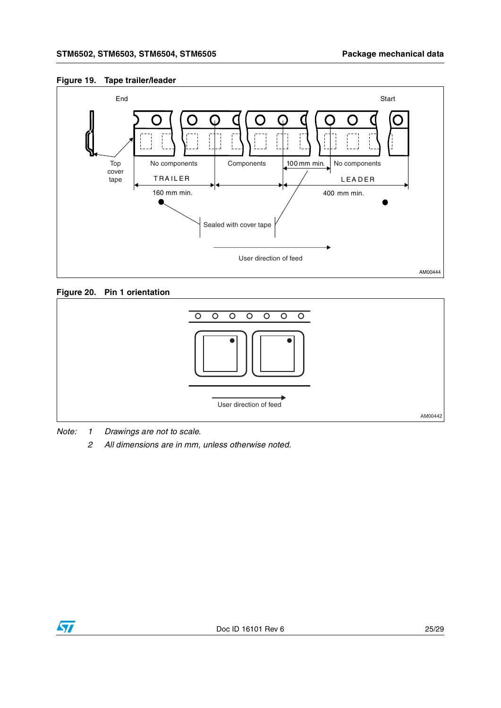#### <span id="page-24-0"></span>**Figure 19. Tape trailer/leader**



#### <span id="page-24-1"></span>**Figure 20. Pin 1 orientation**



*Note: 1 Drawings are not to scale.*

*2 All dimensions are in mm, unless otherwise noted.*

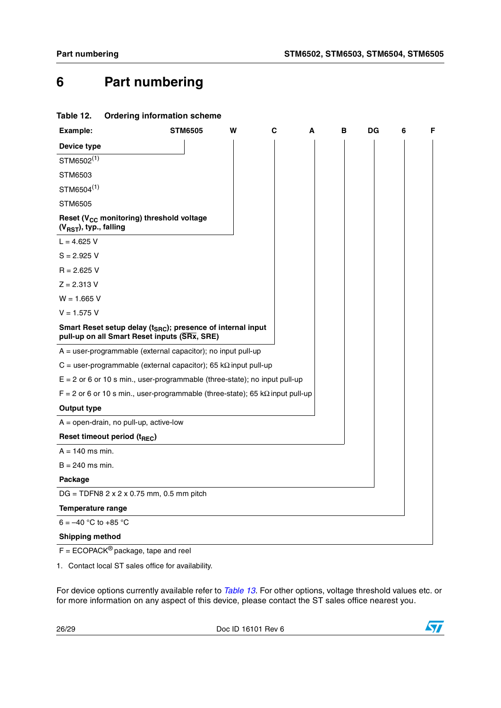### <span id="page-25-0"></span>**6 Part numbering**

<span id="page-25-1"></span>

| Table 12.                          | <b>Ordering information scheme</b>                                                                                      |                |   |   |   |   |    |   |   |
|------------------------------------|-------------------------------------------------------------------------------------------------------------------------|----------------|---|---|---|---|----|---|---|
| Example:                           |                                                                                                                         | <b>STM6505</b> | w | С | A | в | DG | 6 | F |
| Device type                        |                                                                                                                         |                |   |   |   |   |    |   |   |
| STM6502(1)                         |                                                                                                                         |                |   |   |   |   |    |   |   |
| STM6503                            |                                                                                                                         |                |   |   |   |   |    |   |   |
| STM6504 <sup>(1)</sup>             |                                                                                                                         |                |   |   |   |   |    |   |   |
| <b>STM6505</b>                     |                                                                                                                         |                |   |   |   |   |    |   |   |
| (V <sub>RST</sub> ), typ., falling | Reset (V <sub>CC</sub> monitoring) threshold voltage                                                                    |                |   |   |   |   |    |   |   |
| $L = 4.625 V$                      |                                                                                                                         |                |   |   |   |   |    |   |   |
| $S = 2.925 V$                      |                                                                                                                         |                |   |   |   |   |    |   |   |
| $R = 2.625$ V                      |                                                                                                                         |                |   |   |   |   |    |   |   |
| $Z = 2.313 V$                      |                                                                                                                         |                |   |   |   |   |    |   |   |
| $W = 1.665 V$                      |                                                                                                                         |                |   |   |   |   |    |   |   |
| $V = 1.575 V$                      |                                                                                                                         |                |   |   |   |   |    |   |   |
|                                    | Smart Reset setup delay (t <sub>SRC</sub> ); presence of internal input<br>pull-up on all Smart Reset inputs (SRx, SRE) |                |   |   |   |   |    |   |   |
|                                    | $A = user-programmable (external capacitor); no input pull-up$                                                          |                |   |   |   |   |    |   |   |
|                                    | C = user-programmable (external capacitor); 65 k $\Omega$ input pull-up                                                 |                |   |   |   |   |    |   |   |
|                                    | $E = 2$ or 6 or 10 s min., user-programmable (three-state); no input pull-up                                            |                |   |   |   |   |    |   |   |
|                                    | $F = 2$ or 6 or 10 s min., user-programmable (three-state); 65 k $\Omega$ input pull-up                                 |                |   |   |   |   |    |   |   |
| <b>Output type</b>                 |                                                                                                                         |                |   |   |   |   |    |   |   |
|                                    | $A = open-drain, no pull-up, active-low$                                                                                |                |   |   |   |   |    |   |   |
|                                    | Reset timeout period (t <sub>REC</sub> )                                                                                |                |   |   |   |   |    |   |   |
| $A = 140$ ms min.                  |                                                                                                                         |                |   |   |   |   |    |   |   |
| $B = 240$ ms min.                  |                                                                                                                         |                |   |   |   |   |    |   |   |
| Package                            |                                                                                                                         |                |   |   |   |   |    |   |   |
|                                    | $DG = TDFN8 2 x 2 x 0.75 mm, 0.5 mm pitch$                                                                              |                |   |   |   |   |    |   |   |
| <b>Temperature range</b>           |                                                                                                                         |                |   |   |   |   |    |   |   |
| $6 = -40$ °C to +85 °C             |                                                                                                                         |                |   |   |   |   |    |   |   |
| <b>Shipping method</b>             |                                                                                                                         |                |   |   |   |   |    |   |   |
|                                    |                                                                                                                         |                |   |   |   |   |    |   |   |

 $F = ECOPACK^{\circledcirc}$  package, tape and reel

<span id="page-25-2"></span>1. Contact local ST sales office for availability.

For device options currently available refer to *[Table 13](#page-26-1)*. For other options, voltage threshold values etc. or for more information on any aspect of this device, please contact the ST sales office nearest you.

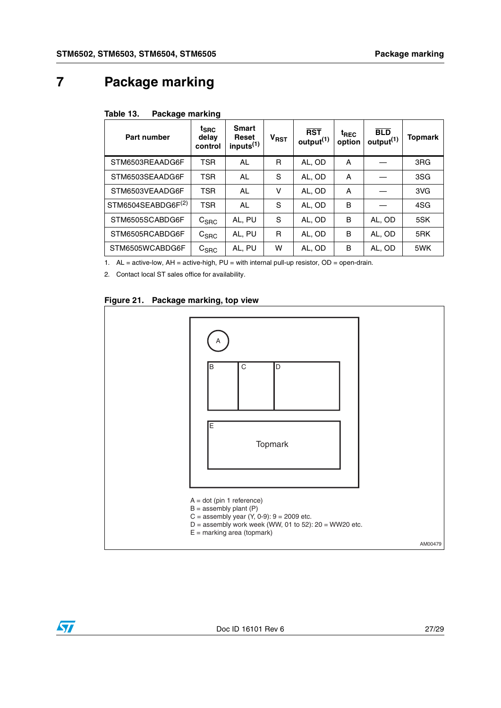### <span id="page-26-0"></span>**7 Package marking**

<span id="page-26-1"></span>

| Part number                    | $t_{\text{SRC}}$<br>delay<br>control | <b>Smart</b><br>Reset<br>inputs <sup>(1)</sup> | $V_{RST}$ | <b>RST</b><br>output <sup>(1)</sup> | <sup>t</sup> REC<br>option | <b>BLD</b><br>output <sup>(1)</sup> | <b>Topmark</b>  |
|--------------------------------|--------------------------------------|------------------------------------------------|-----------|-------------------------------------|----------------------------|-------------------------------------|-----------------|
| STM6503REAADG6F                | <b>TSR</b>                           | AL                                             | R         | AL, OD                              | Α                          |                                     | 3 <sub>RG</sub> |
| STM6503SEAADG6F                | <b>TSR</b>                           | <b>AL</b>                                      | S         | AL, OD                              | Α                          |                                     | 3SG             |
| STM6503VEAADG6F                | <b>TSR</b>                           | <b>AL</b>                                      | ۷         | AL, OD                              | Α                          |                                     | 3VG             |
| STM6504SEABDG6F <sup>(2)</sup> | <b>TSR</b>                           | <b>AL</b>                                      | S         | AL, OD                              | в                          |                                     | 4SG             |
| STM6505SCABDG6F                | $\mathtt{C_{SRC}}$                   | AL, PU                                         | S         | AL, OD                              | в                          | AL, OD                              | 5SK             |
| STM6505RCABDG6F                | $C_{\text{SRC}}$                     | AL, PU                                         | R         | AL, OD                              | в                          | AL, OD                              | 5RK             |
| STM6505WCABDG6F                | ${\tt C_{SRC}}$                      | AL, PU                                         | w         | AL, OD                              | в                          | AL, OD                              | 5WK             |

1. AL = active-low, AH = active-high, PU = with internal pull-up resistor, OD = open-drain.

<span id="page-26-3"></span>2. Contact local ST sales office for availability.

#### <span id="page-26-2"></span>**Figure 21. Package marking, top view**

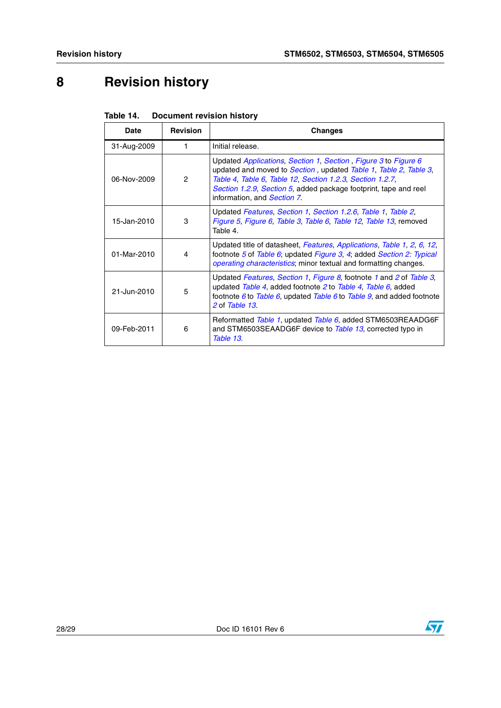# <span id="page-27-0"></span>**8 Revision history**

| <b>Date</b> | <b>Revision</b> | Changes                                                                                                                                                                                                                                                                                            |
|-------------|-----------------|----------------------------------------------------------------------------------------------------------------------------------------------------------------------------------------------------------------------------------------------------------------------------------------------------|
| 31-Aug-2009 | 1               | Initial release.                                                                                                                                                                                                                                                                                   |
| 06-Nov-2009 | $\mathcal{P}$   | Updated Applications, Section 1, Section, Figure 3 to Figure 6<br>updated and moved to Section, updated Table 1, Table 2, Table 3,<br>Table 4, Table 6, Table 12, Section 1.2.3, Section 1.2.7,<br>Section 1.2.9, Section 5, added package footprint, tape and reel<br>information, and Section 7. |
| 15-Jan-2010 | 3               | Updated Features, Section 1, Section 1.2.6, Table 1, Table 2,<br>Figure 5, Figure 6, Table 3, Table 6, Table 12, Table 13, removed<br>Table 4.                                                                                                                                                     |
| 01-Mar-2010 | 4               | Updated title of datasheet, Features, Applications, Table 1, 2, 6, 12,<br>footnote 5 of Table 6; updated Figure 3, 4; added Section 2: Typical<br><i>operating characteristics</i> ; minor textual and formatting changes.                                                                         |
| 21-Jun-2010 | 5               | Updated Features, Section 1, Figure 8, footnote 1 and 2 of Table 3,<br>updated Table 4, added footnote 2 to Table 4, Table 6, added<br>footnote 6 to Table 6, updated Table 6 to Table 9, and added footnote<br>2 of Table 13.                                                                     |
| 09-Feb-2011 | 6               | Reformatted Table 1, updated Table 6, added STM6503REAADG6F<br>and STM6503SEAADG6F device to Table 13, corrected typo in<br>Table 13.                                                                                                                                                              |

<span id="page-27-1"></span>

| Table 14. | <b>Document revision history</b> |  |
|-----------|----------------------------------|--|
|           |                                  |  |